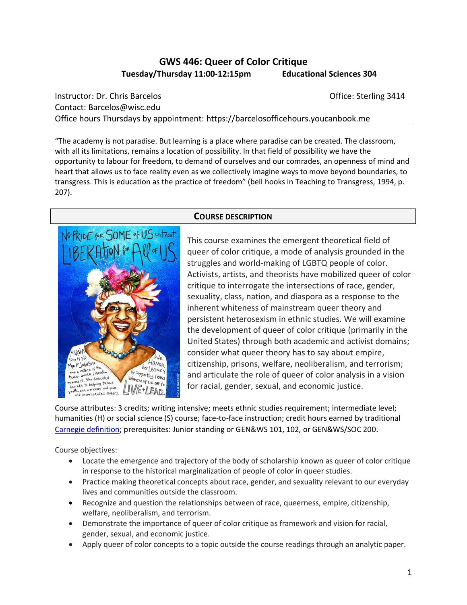# **GWS 446: Queer of Color Critique Tuesday/Thursday 11:00-12:15pm Educational Sciences 304**

Instructor: Dr. Chris Barcelos **Christian Christian Christian Christian Christian Christian Christian Christian Christian Christian Christian Christian Christian Christian Christian Christian Christian Christian Christian** Contact: Barcelos@wisc.edu Office hours Thursdays by appointment: https://barcelosofficehours.youcanbook.me

"The academy is not paradise. But learning is a place where paradise can be created. The classroom, with all its limitations, remains a location of possibility. In that field of possibility we have the opportunity to labour for freedom, to demand of ourselves and our comrades, an openness of mind and heart that allows us to face reality even as we collectively imagine ways to move beyond boundaries, to transgress. This is education as the practice of freedom" (bell hooks in Teaching to Transgress, 1994, p. 207).



### **COURSE DESCRIPTION**

This course examines the emergent theoretical field of queer of color critique, a mode of analysis grounded in the struggles and world-making of LGBTQ people of color. Activists, artists, and theorists have mobilized queer of color critique to interrogate the intersections of race, gender, sexuality, class, nation, and diaspora as a response to the inherent whiteness of mainstream queer theory and persistent heterosexism in ethnic studies. We will examine the development of queer of color critique (primarily in the United States) through both academic and activist domains; consider what queer theory has to say about empire, citizenship, prisons, welfare, neoliberalism, and terrorism; and articulate the role of queer of color analysis in a vision for racial, gender, sexual, and economic justice.

Course attributes: 3 credits; writing intensive; meets ethnic studies requirement; intermediate level; humanities (H) or social science (S) course; face-to-face instruction; credit hours earned by traditional [Carnegie definition;](https://kb.wisc.edu/vesta/page.php?id=24558) prerequisites: Junior standing or GEN&WS 101, 102, or GEN&WS/SOC 200.

#### Course objectives:

- Locate the emergence and trajectory of the body of scholarship known as queer of color critique in response to the historical marginalization of people of color in queer studies.
- Practice making theoretical concepts about race, gender, and sexuality relevant to our everyday lives and communities outside the classroom.
- Recognize and question the relationships between of race, queerness, empire, citizenship, welfare, neoliberalism, and terrorism.
- Demonstrate the importance of queer of color critique as framework and vision for racial, gender, sexual, and economic justice.
- Apply queer of color concepts to a topic outside the course readings through an analytic paper.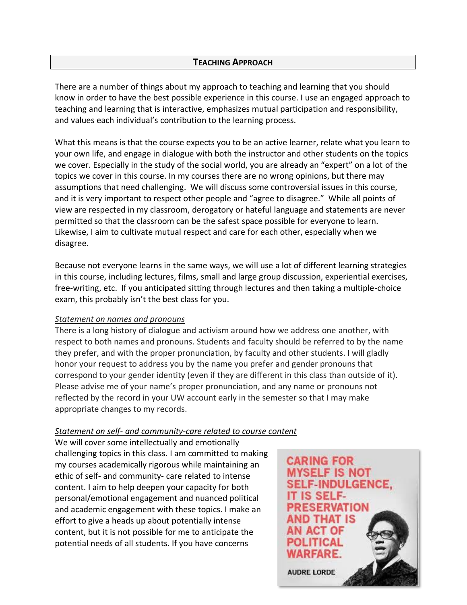### **TEACHING APPROACH**

There are a number of things about my approach to teaching and learning that you should know in order to have the best possible experience in this course. I use an engaged approach to teaching and learning that is interactive, emphasizes mutual participation and responsibility, and values each individual's contribution to the learning process.

What this means is that the course expects you to be an active learner, relate what you learn to your own life, and engage in dialogue with both the instructor and other students on the topics we cover. Especially in the study of the social world, you are already an "expert" on a lot of the topics we cover in this course. In my courses there are no wrong opinions, but there may assumptions that need challenging. We will discuss some controversial issues in this course, and it is very important to respect other people and "agree to disagree." While all points of view are respected in my classroom, derogatory or hateful language and statements are never permitted so that the classroom can be the safest space possible for everyone to learn. Likewise, I aim to cultivate mutual respect and care for each other, especially when we disagree.

Because not everyone learns in the same ways, we will use a lot of different learning strategies in this course, including lectures, films, small and large group discussion, experiential exercises, free-writing, etc. If you anticipated sitting through lectures and then taking a multiple-choice exam, this probably isn't the best class for you.

#### *Statement on names and pronouns*

There is a long history of dialogue and activism around how we address one another, with respect to both names and pronouns. Students and faculty should be referred to by the name they prefer, and with the proper pronunciation, by faculty and other students. I will gladly honor your request to address you by the name you prefer and gender pronouns that correspond to your gender identity (even if they are different in this class than outside of it). Please advise me of your name's proper pronunciation, and any name or pronouns not reflected by the record in your UW account early in the semester so that I may make appropriate changes to my records.

### *Statement on self- and community-care related to course content*

We will cover some intellectually and emotionally challenging topics in this class. I am committed to making my courses academically rigorous while maintaining an ethic of self- and community- care related to intense content. I aim to help deepen your capacity for both personal/emotional engagement and nuanced political and academic engagement with these topics. I make an effort to give a heads up about potentially intense content, but it is not possible for me to anticipate the potential needs of all students. If you have concerns

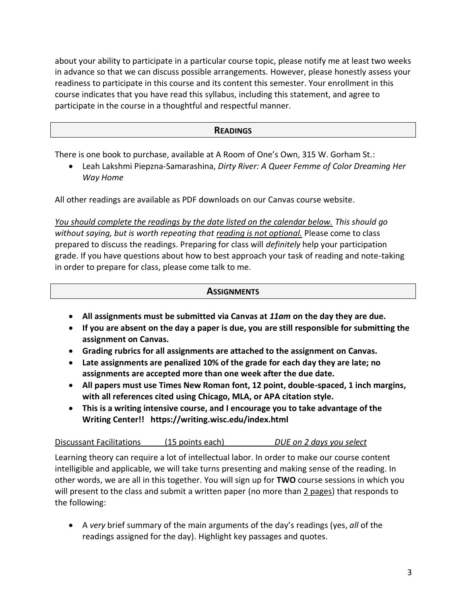about your ability to participate in a particular course topic, please notify me at least two weeks in advance so that we can discuss possible arrangements. However, please honestly assess your readiness to participate in this course and its content this semester. Your enrollment in this course indicates that you have read this syllabus, including this statement, and agree to participate in the course in a thoughtful and respectful manner.

## **READINGS**

There is one book to purchase, available at A Room of One's Own, 315 W. Gorham St.:

• Leah Lakshmi Piepzna-Samarashina, *Dirty River: A Queer Femme of Color Dreaming Her Way Home*

All other readings are available as PDF downloads on our Canvas course website.

*You should complete the readings by the date listed on the calendar below. This should go without saying, but is worth repeating that reading is not optional.* Please come to class prepared to discuss the readings. Preparing for class will *definitely* help your participation grade. If you have questions about how to best approach your task of reading and note-taking in order to prepare for class, please come talk to me.

### **ASSIGNMENTS**

- **All assignments must be submitted via Canvas at** *11am* **on the day they are due.**
- **If you are absent on the day a paper is due, you are still responsible for submitting the assignment on Canvas.**
- **Grading rubrics for all assignments are attached to the assignment on Canvas.**
- **Late assignments are penalized 10% of the grade for each day they are late; no assignments are accepted more than one week after the due date.**
- **All papers must use Times New Roman font, 12 point, double-spaced, 1 inch margins, with all references cited using Chicago, MLA, or APA citation style.**
- **This is a writing intensive course, and I encourage you to take advantage of the Writing Center!! https://writing.wisc.edu/index.html**

Discussant Facilitations (15 points each) *DUE on 2 days you select*

Learning theory can require a lot of intellectual labor. In order to make our course content intelligible and applicable, we will take turns presenting and making sense of the reading. In other words, we are all in this together. You will sign up for **TWO** course sessions in which you will present to the class and submit a written paper (no more than 2 pages) that responds to the following:

• A *very* brief summary of the main arguments of the day's readings (yes, *all* of the readings assigned for the day). Highlight key passages and quotes.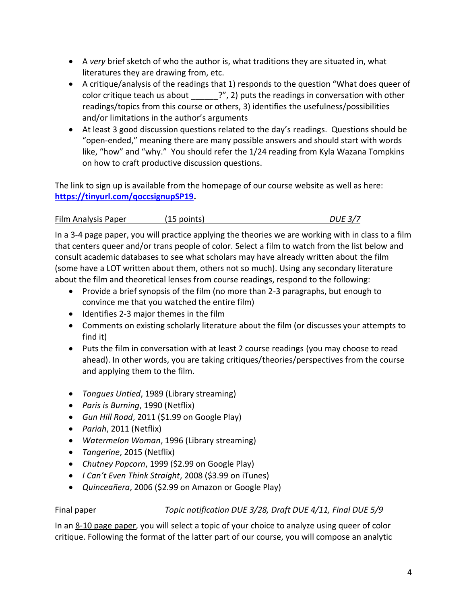- A *very* brief sketch of who the author is, what traditions they are situated in, what literatures they are drawing from, etc.
- A critique/analysis of the readings that 1) responds to the question "What does queer of color critique teach us about <sup>?"</sup>, 2) puts the readings in conversation with other readings/topics from this course or others, 3) identifies the usefulness/possibilities and/or limitations in the author's arguments
- At least 3 good discussion questions related to the day's readings. Questions should be "open-ended," meaning there are many possible answers and should start with words like, "how" and "why." You should refer the 1/24 reading from Kyla Wazana Tompkins on how to craft productive discussion questions.

The link to sign up is available from the homepage of our course website as well as here: **https://tinyurl.com/qoccsignupSP19.**

# Film Analysis Paper (15 points) *DUE 3/7*

In a 3-4 page paper, you will practice applying the theories we are working with in class to a film that centers queer and/or trans people of color. Select a film to watch from the list below and consult academic databases to see what scholars may have already written about the film (some have a LOT written about them, others not so much). Using any secondary literature about the film and theoretical lenses from course readings, respond to the following:

- Provide a brief synopsis of the film (no more than 2-3 paragraphs, but enough to convince me that you watched the entire film)
- Identifies 2-3 major themes in the film
- Comments on existing scholarly literature about the film (or discusses your attempts to find it)
- Puts the film in conversation with at least 2 course readings (you may choose to read ahead). In other words, you are taking critiques/theories/perspectives from the course and applying them to the film.
- *Tongues Untied*, 1989 (Library streaming)
- *Paris is Burning*, 1990 (Netflix)
- *Gun Hill Road*, 2011 (\$1.99 on Google Play)
- *Pariah*, 2011 (Netflix)
- *Watermelon Woman*, 1996 (Library streaming)
- *Tangerine*, 2015 (Netflix)
- *Chutney Popcorn*, 1999 (\$2.99 on Google Play)
- *I Can't Even Think Straight*, 2008 (\$3.99 on iTunes)
- *Quinceañera*, 2006 (\$2.99 on Amazon or Google Play)

# Final paper *Topic notification DUE 3/28, Draft DUE 4/11, Final DUE 5/9*

In an 8-10 page paper, you will select a topic of your choice to analyze using queer of color critique. Following the format of the latter part of our course, you will compose an analytic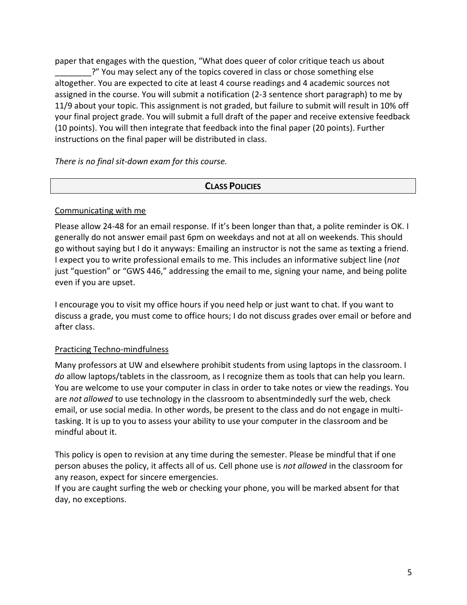paper that engages with the question, "What does queer of color critique teach us about ?" You may select any of the topics covered in class or chose something else altogether. You are expected to cite at least 4 course readings and 4 academic sources not assigned in the course. You will submit a notification (2-3 sentence short paragraph) to me by 11/9 about your topic. This assignment is not graded, but failure to submit will result in 10% off your final project grade. You will submit a full draft of the paper and receive extensive feedback (10 points). You will then integrate that feedback into the final paper (20 points). Further instructions on the final paper will be distributed in class.

*There is no final sit-down exam for this course.*

## **CLASS POLICIES**

### Communicating with me

Please allow 24-48 for an email response. If it's been longer than that, a polite reminder is OK. I generally do not answer email past 6pm on weekdays and not at all on weekends. This should go without saying but I do it anyways: Emailing an instructor is not the same as texting a friend. I expect you to write professional emails to me. This includes an informative subject line (*not* just "question" or "GWS 446," addressing the email to me, signing your name, and being polite even if you are upset.

I encourage you to visit my office hours if you need help or just want to chat. If you want to discuss a grade, you must come to office hours; I do not discuss grades over email or before and after class.

### Practicing Techno-mindfulness

Many professors at UW and elsewhere prohibit students from using laptops in the classroom. I *do* allow laptops/tablets in the classroom, as I recognize them as tools that can help you learn. You are welcome to use your computer in class in order to take notes or view the readings. You are *not allowed* to use technology in the classroom to absentmindedly surf the web, check email, or use social media. In other words, be present to the class and do not engage in multitasking. It is up to you to assess your ability to use your computer in the classroom and be mindful about it.

This policy is open to revision at any time during the semester. Please be mindful that if one person abuses the policy, it affects all of us. Cell phone use is *not allowed* in the classroom for any reason, expect for sincere emergencies.

If you are caught surfing the web or checking your phone, you will be marked absent for that day, no exceptions.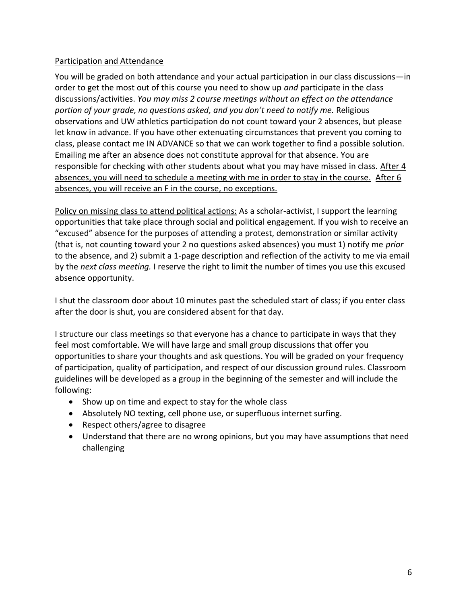## Participation and Attendance

You will be graded on both attendance and your actual participation in our class discussions—in order to get the most out of this course you need to show up *and* participate in the class discussions/activities. *You may miss 2 course meetings without an effect on the attendance portion of your grade, no questions asked, and you don't need to notify me.* Religious observations and UW athletics participation do not count toward your 2 absences, but please let know in advance. If you have other extenuating circumstances that prevent you coming to class, please contact me IN ADVANCE so that we can work together to find a possible solution. Emailing me after an absence does not constitute approval for that absence. You are responsible for checking with other students about what you may have missed in class. After 4 absences, you will need to schedule a meeting with me in order to stay in the course. After 6 absences, you will receive an F in the course, no exceptions.

Policy on missing class to attend political actions: As a scholar-activist, I support the learning opportunities that take place through social and political engagement. If you wish to receive an "excused" absence for the purposes of attending a protest, demonstration or similar activity (that is, not counting toward your 2 no questions asked absences) you must 1) notify me *prior* to the absence, and 2) submit a 1-page description and reflection of the activity to me via email by the *next class meeting.* I reserve the right to limit the number of times you use this excused absence opportunity.

I shut the classroom door about 10 minutes past the scheduled start of class; if you enter class after the door is shut, you are considered absent for that day.

I structure our class meetings so that everyone has a chance to participate in ways that they feel most comfortable. We will have large and small group discussions that offer you opportunities to share your thoughts and ask questions. You will be graded on your frequency of participation, quality of participation, and respect of our discussion ground rules. Classroom guidelines will be developed as a group in the beginning of the semester and will include the following:

- Show up on time and expect to stay for the whole class
- Absolutely NO texting, cell phone use, or superfluous internet surfing.
- Respect others/agree to disagree
- Understand that there are no wrong opinions, but you may have assumptions that need challenging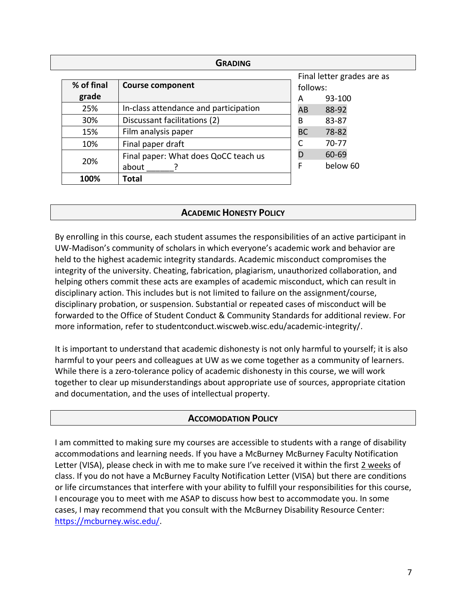| <b>GRADING</b> |                     |                                       |                                        |                 |  |  |  |
|----------------|---------------------|---------------------------------------|----------------------------------------|-----------------|--|--|--|
|                | % of final<br>grade | <b>Course component</b>               | Final letter grades are as<br>follows: |                 |  |  |  |
|                | 25%                 | In-class attendance and participation | A<br>AB                                | 93-100<br>88-92 |  |  |  |
|                | 30%                 | Discussant facilitations (2)          | B                                      | 83-87           |  |  |  |
|                | 15%                 | Film analysis paper                   | <b>BC</b>                              | 78-82           |  |  |  |
|                | 10%                 | Final paper draft                     |                                        | $70-77$         |  |  |  |
|                | 20%                 | Final paper: What does QoCC teach us  | D                                      | 60-69           |  |  |  |
|                |                     | about                                 | F                                      | below 60        |  |  |  |
|                | 100%                | Total                                 |                                        |                 |  |  |  |

## **ACADEMIC HONESTY POLICY**

By enrolling in this course, each student assumes the responsibilities of an active participant in UW-Madison's community of scholars in which everyone's academic work and behavior are held to the highest academic integrity standards. Academic misconduct compromises the integrity of the university. Cheating, fabrication, plagiarism, unauthorized collaboration, and helping others commit these acts are examples of academic misconduct, which can result in disciplinary action. This includes but is not limited to failure on the assignment/course, disciplinary probation, or suspension. Substantial or repeated cases of misconduct will be forwarded to the Office of Student Conduct & Community Standards for additional review. For more information, refer to [studentconduct.wiscweb.wisc.edu/academic-integrity/.](https://conduct.students.wisc.edu/academic-integrity/)

It is important to understand that academic dishonesty is not only harmful to yourself; it is also harmful to your peers and colleagues at UW as we come together as a community of learners. While there is a zero-tolerance policy of academic dishonesty in this course, we will work together to clear up misunderstandings about appropriate use of sources, appropriate citation and documentation, and the uses of intellectual property.

### **ACCOMODATION POLICY**

I am committed to making sure my courses are accessible to students with a range of disability accommodations and learning needs. If you have a McBurney McBurney Faculty Notification Letter (VISA), please check in with me to make sure I've received it within the first 2 weeks of class. If you do not have a McBurney Faculty Notification Letter (VISA) but there are conditions or life circumstances that interfere with your ability to fulfill your responsibilities for this course, I encourage you to meet with me ASAP to discuss how best to accommodate you. In some cases, I may recommend that you consult with the McBurney Disability Resource Center: [https://mcburney.wisc.edu/.](https://mcburney.wisc.edu/)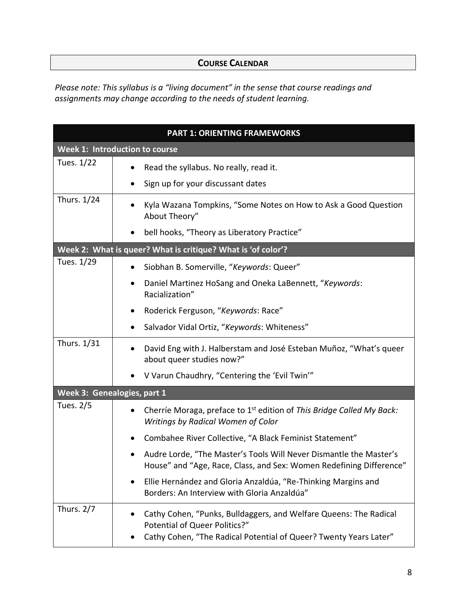# **COURSE CALENDAR**

*Please note: This syllabus is a "living document" in the sense that course readings and assignments may change according to the needs of student learning.*

| <b>PART 1: ORIENTING FRAMEWORKS</b>                          |                                                                                                                                                                                |  |  |
|--------------------------------------------------------------|--------------------------------------------------------------------------------------------------------------------------------------------------------------------------------|--|--|
| Week 1: Introduction to course                               |                                                                                                                                                                                |  |  |
| Tues. 1/22                                                   | Read the syllabus. No really, read it.<br>Sign up for your discussant dates<br>$\bullet$                                                                                       |  |  |
| Thurs. 1/24                                                  | Kyla Wazana Tompkins, "Some Notes on How to Ask a Good Question<br>About Theory"<br>bell hooks, "Theory as Liberatory Practice"                                                |  |  |
| Week 2: What is queer? What is critique? What is 'of color'? |                                                                                                                                                                                |  |  |
| Tues. 1/29                                                   | Siobhan B. Somerville, "Keywords: Queer"<br>$\bullet$<br>Daniel Martinez HoSang and Oneka LaBennett, "Keywords:<br>٠<br>Racialization"                                         |  |  |
|                                                              | Roderick Ferguson, "Keywords: Race"<br>Salvador Vidal Ortiz, "Keywords: Whiteness"<br>٠                                                                                        |  |  |
| Thurs. 1/31                                                  | David Eng with J. Halberstam and José Esteban Muñoz, "What's queer<br>about queer studies now?"                                                                                |  |  |
|                                                              | V Varun Chaudhry, "Centering the 'Evil Twin'"                                                                                                                                  |  |  |
| Week 3: Genealogies, part 1                                  |                                                                                                                                                                                |  |  |
| Tues. 2/5                                                    | Cherríe Moraga, preface to 1 <sup>st</sup> edition of This Bridge Called My Back:<br>$\bullet$<br>Writings by Radical Women of Color                                           |  |  |
|                                                              | Combahee River Collective, "A Black Feminist Statement"                                                                                                                        |  |  |
|                                                              | Audre Lorde, "The Master's Tools Will Never Dismantle the Master's<br>House" and "Age, Race, Class, and Sex: Women Redefining Difference"                                      |  |  |
|                                                              | Ellie Hernández and Gloria Anzaldúa, "Re-Thinking Margins and<br>Borders: An Interview with Gloria Anzaldúa"                                                                   |  |  |
| Thurs. $2/7$                                                 | Cathy Cohen, "Punks, Bulldaggers, and Welfare Queens: The Radical<br><b>Potential of Queer Politics?"</b><br>Cathy Cohen, "The Radical Potential of Queer? Twenty Years Later" |  |  |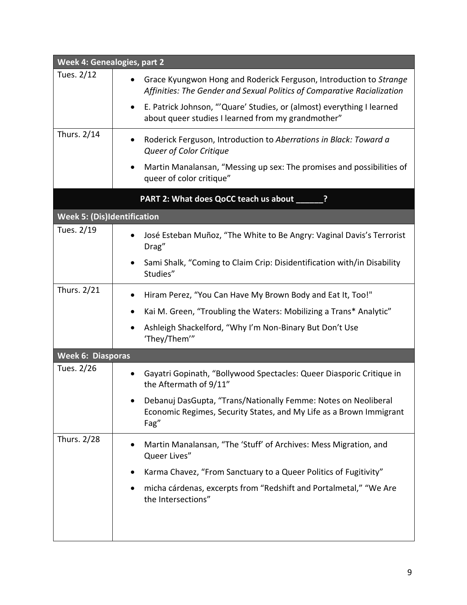| <b>Week 4: Genealogies, part 2</b> |                                                                                                                                               |  |  |  |
|------------------------------------|-----------------------------------------------------------------------------------------------------------------------------------------------|--|--|--|
| Tues. 2/12                         | Grace Kyungwon Hong and Roderick Ferguson, Introduction to Strange<br>Affinities: The Gender and Sexual Politics of Comparative Racialization |  |  |  |
|                                    | E. Patrick Johnson, "'Quare' Studies, or (almost) everything I learned<br>$\bullet$<br>about queer studies I learned from my grandmother"     |  |  |  |
| Thurs. 2/14                        | Roderick Ferguson, Introduction to Aberrations in Black: Toward a<br>Queer of Color Critique                                                  |  |  |  |
|                                    | Martin Manalansan, "Messing up sex: The promises and possibilities of<br>٠<br>queer of color critique"                                        |  |  |  |
|                                    | PART 2: What does QoCC teach us about _____                                                                                                   |  |  |  |
| <b>Week 5: (Dis)Identification</b> |                                                                                                                                               |  |  |  |
| Tues. 2/19                         | José Esteban Muñoz, "The White to Be Angry: Vaginal Davis's Terrorist<br>$\bullet$<br>Drag"                                                   |  |  |  |
|                                    | Sami Shalk, "Coming to Claim Crip: Disidentification with/in Disability<br>Studies"                                                           |  |  |  |
| Thurs. 2/21                        | Hiram Perez, "You Can Have My Brown Body and Eat It, Too!"                                                                                    |  |  |  |
|                                    | Kai M. Green, "Troubling the Waters: Mobilizing a Trans* Analytic"                                                                            |  |  |  |
|                                    | Ashleigh Shackelford, "Why I'm Non-Binary But Don't Use<br>$\bullet$<br>'They/Them'"                                                          |  |  |  |
|                                    | <b>Week 6: Diasporas</b>                                                                                                                      |  |  |  |
| Tues. 2/26                         | Gayatri Gopinath, "Bollywood Spectacles: Queer Diasporic Critique in<br>٠<br>the Aftermath of 9/11"                                           |  |  |  |
|                                    | Debanuj DasGupta, "Trans/Nationally Femme: Notes on Neoliberal<br>Economic Regimes, Security States, and My Life as a Brown Immigrant<br>Fag" |  |  |  |
| Thurs. 2/28                        | Martin Manalansan, "The 'Stuff' of Archives: Mess Migration, and<br>Queer Lives"                                                              |  |  |  |
|                                    | Karma Chavez, "From Sanctuary to a Queer Politics of Fugitivity"                                                                              |  |  |  |
|                                    | micha cárdenas, excerpts from "Redshift and Portalmetal," "We Are<br>٠<br>the Intersections"                                                  |  |  |  |
|                                    |                                                                                                                                               |  |  |  |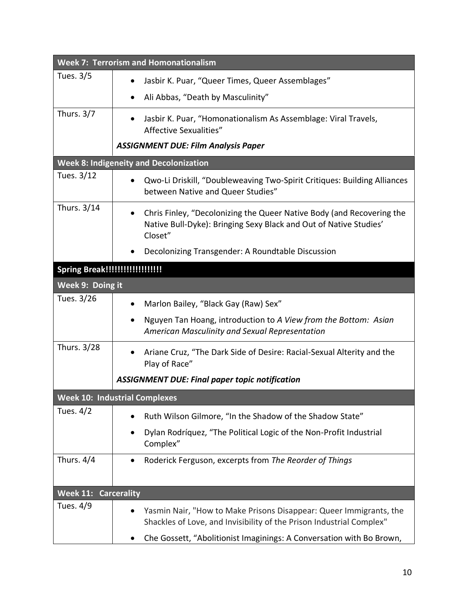| <b>Week 7: Terrorism and Homonationalism</b>  |                                                                                                                                                                    |  |  |  |  |
|-----------------------------------------------|--------------------------------------------------------------------------------------------------------------------------------------------------------------------|--|--|--|--|
| Tues. 3/5                                     | Jasbir K. Puar, "Queer Times, Queer Assemblages"<br>$\bullet$                                                                                                      |  |  |  |  |
|                                               | Ali Abbas, "Death by Masculinity"<br>$\bullet$                                                                                                                     |  |  |  |  |
| Thurs. 3/7                                    | Jasbir K. Puar, "Homonationalism As Assemblage: Viral Travels,<br>Affective Sexualities"                                                                           |  |  |  |  |
|                                               | <b>ASSIGNMENT DUE: Film Analysis Paper</b>                                                                                                                         |  |  |  |  |
| <b>Week 8: Indigeneity and Decolonization</b> |                                                                                                                                                                    |  |  |  |  |
| Tues. 3/12                                    | Qwo-Li Driskill, "Doubleweaving Two-Spirit Critiques: Building Alliances<br>٠<br>between Native and Queer Studies"                                                 |  |  |  |  |
| Thurs. 3/14                                   | Chris Finley, "Decolonizing the Queer Native Body (and Recovering the<br>$\bullet$<br>Native Bull-Dyke): Bringing Sexy Black and Out of Native Studies'<br>Closet" |  |  |  |  |
|                                               | Decolonizing Transgender: A Roundtable Discussion<br>$\bullet$                                                                                                     |  |  |  |  |
|                                               |                                                                                                                                                                    |  |  |  |  |
| Week 9: Doing it                              |                                                                                                                                                                    |  |  |  |  |
| Tues. 3/26                                    | Marlon Bailey, "Black Gay (Raw) Sex"<br>٠                                                                                                                          |  |  |  |  |
|                                               | Nguyen Tan Hoang, introduction to A View from the Bottom: Asian<br>$\bullet$<br>American Masculinity and Sexual Representation                                     |  |  |  |  |
| Thurs. 3/28                                   | Ariane Cruz, "The Dark Side of Desire: Racial-Sexual Alterity and the<br>$\bullet$<br>Play of Race"                                                                |  |  |  |  |
|                                               | <b>ASSIGNMENT DUE: Final paper topic notification</b>                                                                                                              |  |  |  |  |
|                                               | <b>Week 10: Industrial Complexes</b>                                                                                                                               |  |  |  |  |
| Tues. $4/2$                                   | Ruth Wilson Gilmore, "In the Shadow of the Shadow State"                                                                                                           |  |  |  |  |
|                                               | Dylan Rodríquez, "The Political Logic of the Non-Profit Industrial<br>$\bullet$<br>Complex"                                                                        |  |  |  |  |
| Thurs. 4/4                                    | Roderick Ferguson, excerpts from The Reorder of Things<br>$\bullet$                                                                                                |  |  |  |  |
| <b>Carcerality</b><br><b>Week 11:</b>         |                                                                                                                                                                    |  |  |  |  |
| Tues. 4/9                                     | Yasmin Nair, "How to Make Prisons Disappear: Queer Immigrants, the<br>Shackles of Love, and Invisibility of the Prison Industrial Complex"                         |  |  |  |  |
|                                               | Che Gossett, "Abolitionist Imaginings: A Conversation with Bo Brown,<br>$\bullet$                                                                                  |  |  |  |  |